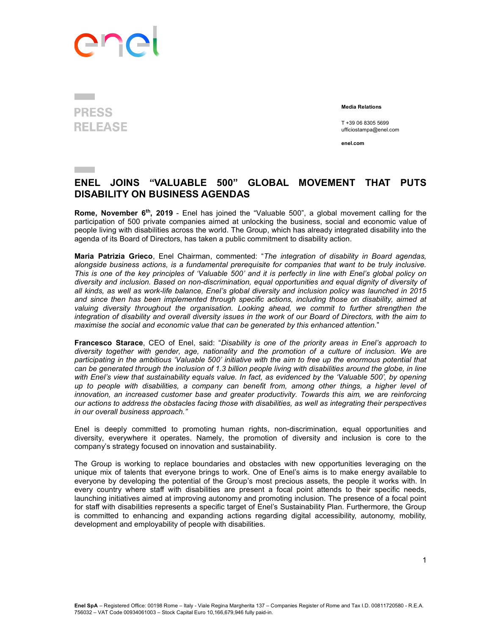## ene

## **PRESS**

Media Relations

 T +39 06 8305 5699 RELEASE T+39 06 8305 5699

enel.com

## ENEL JOINS "VALUABLE 500" GLOBAL MOVEMENT THAT PUTS DISABILITY ON BUSINESS AGENDAS

Rome, November 6<sup>th</sup>, 2019 - Enel has joined the "Valuable 500", a global movement calling for the participation of 500 private companies aimed at unlocking the business, social and economic value of people living with disabilities across the world. The Group, which has already integrated disability into the agenda of its Board of Directors, has taken a public commitment to disability action.

Maria Patrizia Grieco, Enel Chairman, commented: "The integration of disability in Board agendas, alongside business actions, is a fundamental prerequisite for companies that want to be truly inclusive. This is one of the key principles of 'Valuable 500' and it is perfectly in line with Enel's global policy on diversity and inclusion. Based on non-discrimination, equal opportunities and equal dignity of diversity of all kinds, as well as work-life balance, Enel's global diversity and inclusion policy was launched in 2015 and since then has been implemented through specific actions, including those on disability, aimed at valuing diversity throughout the organisation. Looking ahead, we commit to further strengthen the integration of disability and overall diversity issues in the work of our Board of Directors, with the aim to maximise the social and economic value that can be generated by this enhanced attention."

Francesco Starace, CEO of Enel, said: "Disability is one of the priority areas in Enel's approach to diversity together with gender, age, nationality and the promotion of a culture of inclusion. We are participating in the ambitious 'Valuable 500' initiative with the aim to free up the enormous potential that can be generated through the inclusion of 1.3 billion people living with disabilities around the globe, in line with Enel's view that sustainability equals value. In fact, as evidenced by the 'Valuable 500', by opening up to people with disabilities, a company can benefit from, among other things, a higher level of innovation, an increased customer base and greater productivity. Towards this aim, we are reinforcing our actions to address the obstacles facing those with disabilities, as well as integrating their perspectives in our overall business approach."

Enel is deeply committed to promoting human rights, non-discrimination, equal opportunities and diversity, everywhere it operates. Namely, the promotion of diversity and inclusion is core to the company's strategy focused on innovation and sustainability.

The Group is working to replace boundaries and obstacles with new opportunities leveraging on the unique mix of talents that everyone brings to work. One of Enel's aims is to make energy available to everyone by developing the potential of the Group's most precious assets, the people it works with. In every country where staff with disabilities are present a focal point attends to their specific needs, launching initiatives aimed at improving autonomy and promoting inclusion. The presence of a focal point for staff with disabilities represents a specific target of Enel's Sustainability Plan. Furthermore, the Group is committed to enhancing and expanding actions regarding digital accessibility, autonomy, mobility, development and employability of people with disabilities.